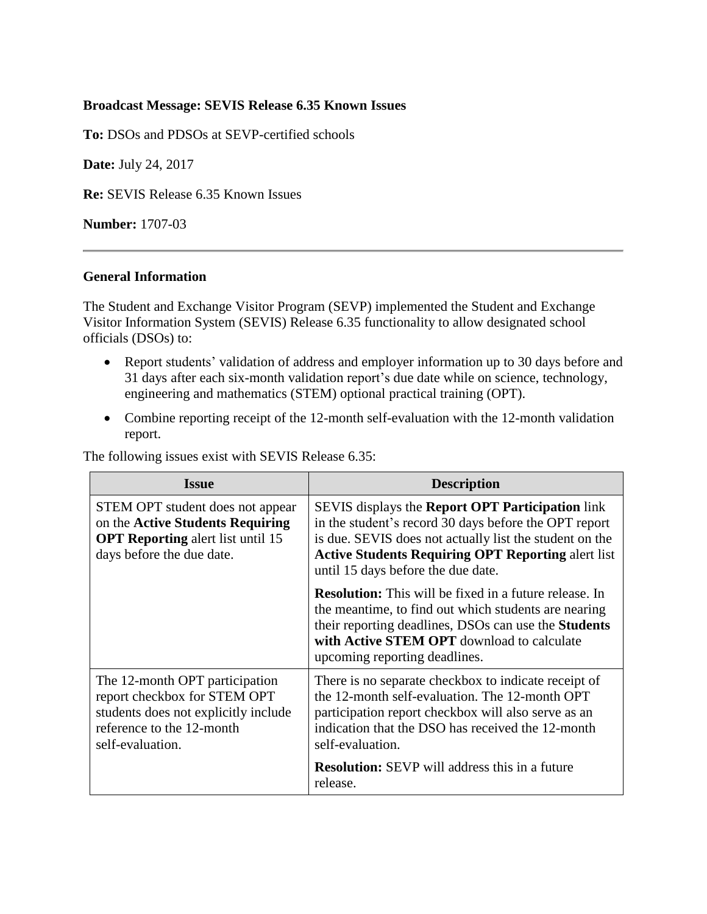## **Broadcast Message: SEVIS Release 6.35 Known Issues**

**To:** DSOs and PDSOs at SEVP-certified schools

**Date:** July 24, 2017

**Re:** SEVIS Release 6.35 Known Issues

**Number:** 1707-03

## **General Information**

The Student and Exchange Visitor Program (SEVP) implemented the Student and Exchange Visitor Information System (SEVIS) Release 6.35 functionality to allow designated school officials (DSOs) to:

- Report students' validation of address and employer information up to 30 days before and 31 days after each six-month validation report's due date while on science, technology, engineering and mathematics (STEM) optional practical training (OPT).
- Combine reporting receipt of the 12-month self-evaluation with the 12-month validation report.

The following issues exist with SEVIS Release 6.35:

| <b>Issue</b>                                                                                                                                            | <b>Description</b>                                                                                                                                                                                                                                                             |  |
|---------------------------------------------------------------------------------------------------------------------------------------------------------|--------------------------------------------------------------------------------------------------------------------------------------------------------------------------------------------------------------------------------------------------------------------------------|--|
| STEM OPT student does not appear<br>on the Active Students Requiring<br><b>OPT Reporting</b> alert list until 15<br>days before the due date.           | SEVIS displays the <b>Report OPT Participation</b> link<br>in the student's record 30 days before the OPT report<br>is due. SEVIS does not actually list the student on the<br><b>Active Students Requiring OPT Reporting alert list</b><br>until 15 days before the due date. |  |
|                                                                                                                                                         | <b>Resolution:</b> This will be fixed in a future release. In<br>the meantime, to find out which students are nearing<br>their reporting deadlines, DSOs can use the <b>Students</b><br>with Active STEM OPT download to calculate<br>upcoming reporting deadlines.            |  |
| The 12-month OPT participation<br>report checkbox for STEM OPT<br>students does not explicitly include<br>reference to the 12-month<br>self-evaluation. | There is no separate checkbox to indicate receipt of<br>the 12-month self-evaluation. The 12-month OPT<br>participation report checkbox will also serve as an<br>indication that the DSO has received the 12-month<br>self-evaluation.                                         |  |
|                                                                                                                                                         | <b>Resolution:</b> SEVP will address this in a future<br>release.                                                                                                                                                                                                              |  |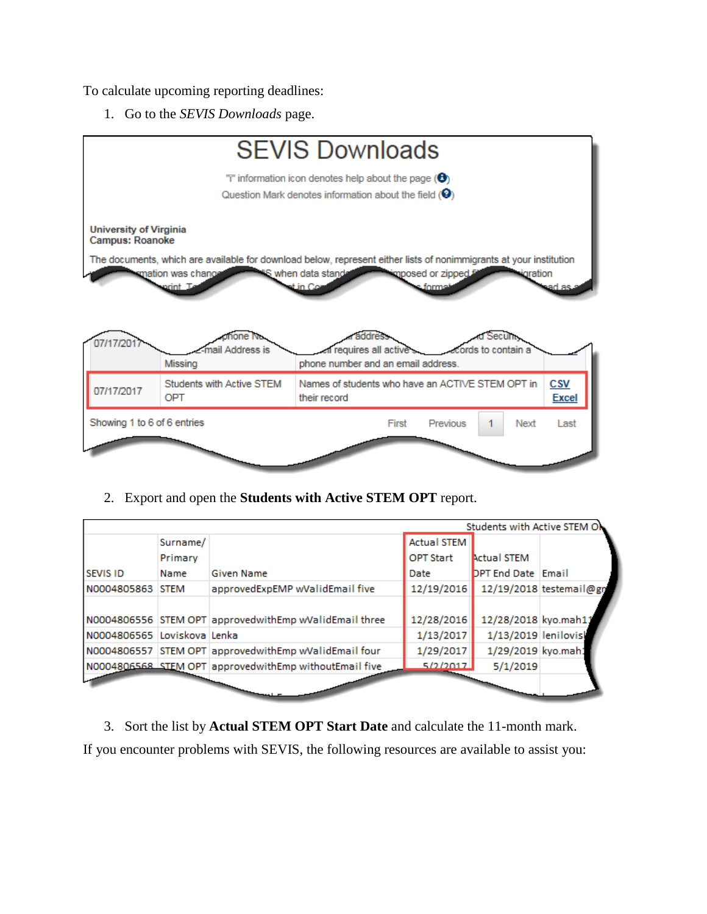To calculate upcoming reporting deadlines:

1. Go to the *SEVIS Downloads* page.



2. Export and open the **Students with Active STEM OPT** report.

|                             |          |                                                        |                    | Students with Active STEM ON |                         |
|-----------------------------|----------|--------------------------------------------------------|--------------------|------------------------------|-------------------------|
|                             | Surname/ |                                                        | <b>Actual STEM</b> |                              |                         |
|                             | Primary  |                                                        | <b>OPT Start</b>   | <b>Actual STEM</b>           |                         |
| <b>SEVIS ID</b>             | Name     | <b>Given Name</b>                                      | Date               | <b>DPT End Date Email</b>    |                         |
| N0004805863 STEM            |          | approvedExpEMP wValidEmail five                        | 12/19/2016         |                              | 12/19/2018 testemail@gn |
|                             |          |                                                        |                    |                              |                         |
|                             |          | N0004806556 STEM OPT approvedwithEmp wValidEmail three | 12/28/2016         | 12/28/2018 kyo.mah11         |                         |
| N0004806565 Loviskova Lenka |          |                                                        | 1/13/2017          | 1/13/2019 lenilovis          |                         |
|                             |          | N0004806557 STEM OPT approvedwithEmp wValidEmail four  | 1/29/2017          | 1/29/2019 kyo.mah:           |                         |
|                             |          | N0004806568 STEM OPT approvedwithEmp withoutEmail five | 5/2/2017           | 5/1/2019                     |                         |
|                             |          |                                                        |                    |                              |                         |
|                             |          |                                                        |                    |                              |                         |

3. Sort the list by **Actual STEM OPT Start Date** and calculate the 11-month mark. If you encounter problems with SEVIS, the following resources are available to assist you: